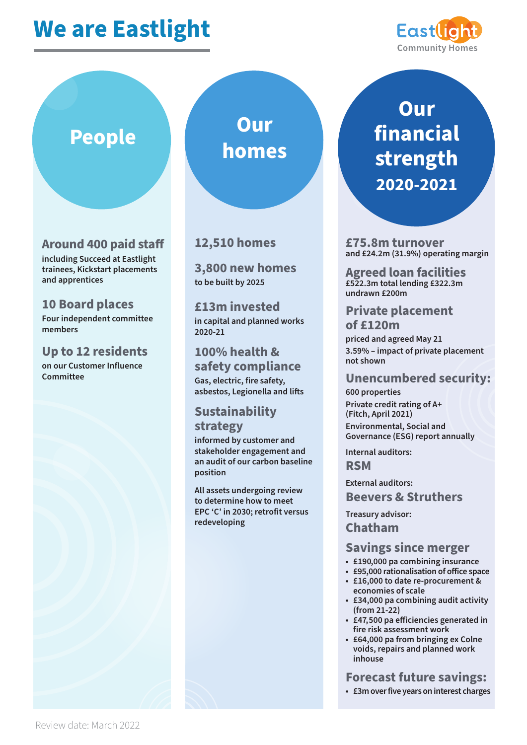# **We are Eastlight**



### **Around 400 paid staff**

**including Succeed at Eastlight trainees, Kickstart placements and apprentices**

#### **10 Board places**

**Four independent committee members** 

#### **Up to 12 residents**

**on our Customer Influence Committee**



#### **12,510 homes**

**3,800 new homes to be built by 2025** 

**£13m invested in capital and planned works 2020-21** 

**100% health & safety compliance Gas, electric, fire safety,**  asbestos, Legionella and lifts

#### **Sustainability strategy**

**informed by customer and stakeholder engagement and an audit of our carbon baseline position**

**All assets undergoing review to determine how to meet EPC 'C' in 2030; retrofit versus redeveloping**

# **Our financial strength 2020-2021**

**£75.8m turnover and £24.2m (31.9%) operating margin**

**Agreed loan facilities £522.3m total lending £322.3m undrawn £200m**

#### **Private placement of £120m**

**priced and agreed May 21 3.59% – impact of private placement not shown**

#### **Unencumbered security:**

**600 properties Private credit rating of A+ (Fitch, April 2021) Environmental, Social and Governance (ESG) report annually**

**Internal auditors: RSM**

**External auditors: Beevers & Struthers**

**Treasury advisor: Chatham**

#### **Savings since merger**

- **£190,000 pa combining insurance**
- £95,000 rationalisation of office space
- **£16,000 to date re-procurement & economies of scale**
- **£34,000 pa combining audit activity (from 21-22)**
- £47,500 pa efficiencies generated in **fire risk assessment work**
- **£64,000 pa from bringing ex Colne voids, repairs and planned work inhouse**

**Forecast future savings:**

**• £3m over five years on interest charges**